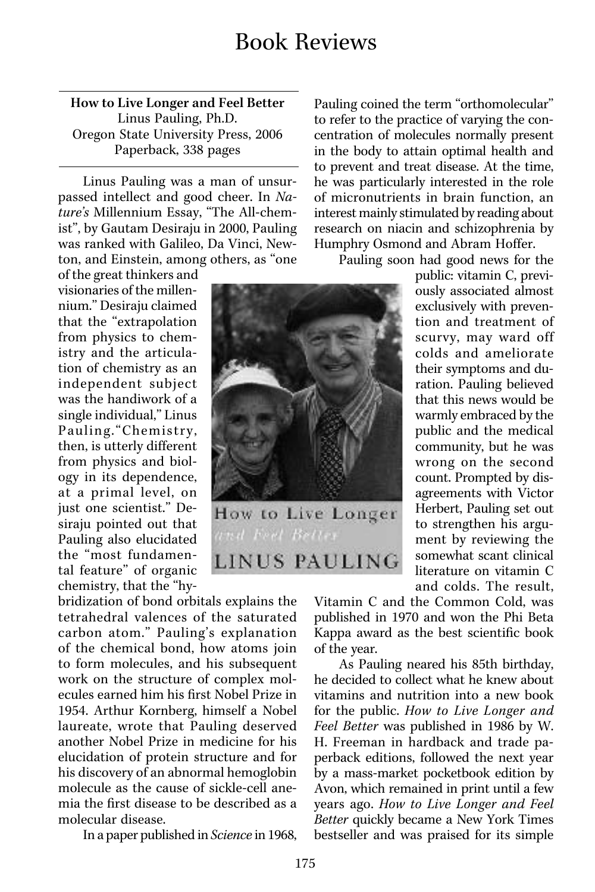How to Live Longer and Feel Better Linus Pauling, Ph.D. Oregon State University Press, 2006 Paperback, 338 pages

Linus Pauling was a man of unsurpassed intellect and good cheer. In *Nature's* Millennium Essay, "The All-chemist", by Gautam Desiraju in 2000, Pauling was ranked with Galileo, Da Vinci, Newton, and Einstein, among others, as "one

of the great thinkers and visionaries of the millennium." Desiraju claimed that the "extrapolation from physics to chemistry and the articulation of chemistry as an independent subject was the handiwork of a single individual," Linus Pauling."Chemistry, then, is utterly different from physics and biology in its dependence, at a primal level, on just one scientist." Desiraju pointed out that Pauling also elucidated the "most fundamental feature" of organic chemistry, that the "hy-

bridization of bond orbitals explains the tetrahedral valences of the saturated carbon atom." Pauling's explanation of the chemical bond, how atoms join to form molecules, and his subsequent work on the structure of complex molecules earned him his first Nobel Prize in 1954. Arthur Kornberg, himself a Nobel laureate, wrote that Pauling deserved another Nobel Prize in medicine for his elucidation of protein structure and for his discovery of an abnormal hemoglobin molecule as the cause of sickle-cell anemia the first disease to be described as a molecular disease.

In a paper published in *Science* in 1968,

Pauling coined the term "orthomolecular" to refer to the practice of varying the concentration of molecules normally present in the body to attain optimal health and to prevent and treat disease. At the time, he was particularly interested in the role of micronutrients in brain function, an interest mainly stimulated by reading about research on niacin and schizophrenia by Humphry Osmond and Abram Hoffer.

Pauling soon had good news for the

public: vitamin C, previously associated almost exclusively with prevention and treatment of scurvy, may ward off colds and ameliorate their symptoms and duration. Pauling believed that this news would be warmly embraced by the public and the medical community, but he was wrong on the second count. Prompted by disagreements with Victor Herbert, Pauling set out to strengthen his argument by reviewing the somewhat scant clinical literature on vitamin C and colds. The result,

Vitamin C and the Common Cold, was published in 1970 and won the Phi Beta Kappa award as the best scientific book of the year.

As Pauling neared his 85th birthday, he decided to collect what he knew about vitamins and nutrition into a new book for the public. *How to Live Longer and Feel Better* was published in 1986 by W. H. Freeman in hardback and trade paperback editions, followed the next year by a mass-market pocketbook edition by Avon, which remained in print until a few years ago. *How to Live Longer and Feel Better* quickly became a New York Times bestseller and was praised for its simple

How to Live Longer

LINUS PAULING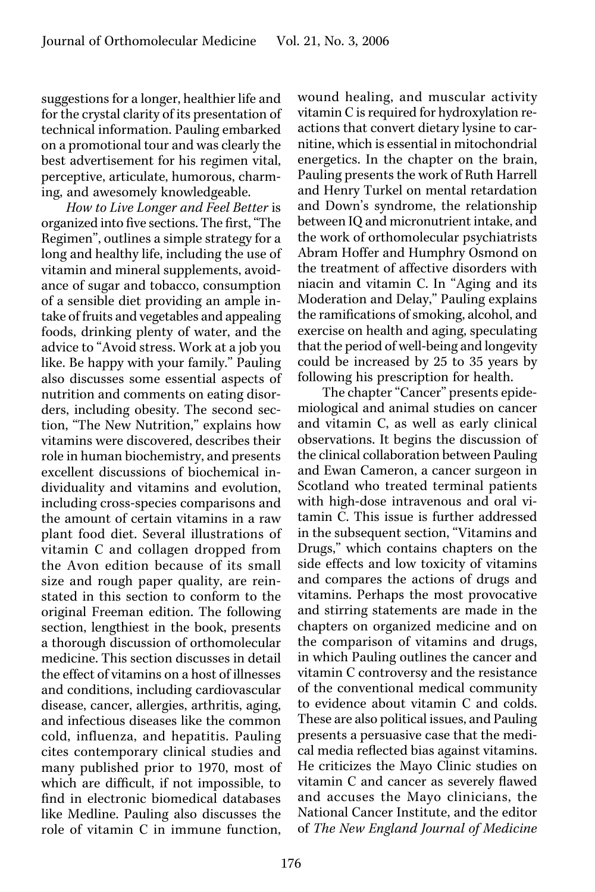suggestions for a longer, healthier life and for the crystal clarity of its presentation of technical information. Pauling embarked on a promotional tour and was clearly the best advertisement for his regimen vital, perceptive, articulate, humorous, charming, and awesomely knowledgeable.

*How to Live Longer and Feel Better* is organized into five sections. The first, "The Regimen", outlines a simple strategy for a long and healthy life, including the use of vitamin and mineral supplements, avoidance of sugar and tobacco, consumption of a sensible diet providing an ample intake of fruits and vegetables and appealing foods, drinking plenty of water, and the advice to "Avoid stress. Work at a job you like. Be happy with your family." Pauling also discusses some essential aspects of nutrition and comments on eating disorders, including obesity. The second section, "The New Nutrition," explains how vitamins were discovered, describes their role in human biochemistry, and presents excellent discussions of biochemical individuality and vitamins and evolution, including cross-species comparisons and the amount of certain vitamins in a raw plant food diet. Several illustrations of vitamin C and collagen dropped from the Avon edition because of its small size and rough paper quality, are reinstated in this section to conform to the original Freeman edition. The following section, lengthiest in the book, presents a thorough discussion of orthomolecular medicine. This section discusses in detail the effect of vitamins on a host of illnesses and conditions, including cardiovascular disease, cancer, allergies, arthritis, aging, and infectious diseases like the common cold, influenza, and hepatitis. Pauling cites contemporary clinical studies and many published prior to 1970, most of which are difficult, if not impossible, to find in electronic biomedical databases like Medline. Pauling also discusses the role of vitamin C in immune function,

wound healing, and muscular activity vitamin C is required for hydroxylation reactions that convert dietary lysine to carnitine, which is essential in mitochondrial energetics. In the chapter on the brain, Pauling presents the work of Ruth Harrell and Henry Turkel on mental retardation and Down's syndrome, the relationship between IQ and micronutrient intake, and the work of orthomolecular psychiatrists Abram Hoffer and Humphry Osmond on the treatment of affective disorders with niacin and vitamin C. In "Aging and its Moderation and Delay," Pauling explains the ramifications of smoking, alcohol, and exercise on health and aging, speculating that the period of well-being and longevity could be increased by 25 to 35 years by following his prescription for health.

The chapter "Cancer" presents epidemiological and animal studies on cancer and vitamin C, as well as early clinical observations. It begins the discussion of the clinical collaboration between Pauling and Ewan Cameron, a cancer surgeon in Scotland who treated terminal patients with high-dose intravenous and oral vitamin C. This issue is further addressed in the subsequent section, "Vitamins and Drugs," which contains chapters on the side effects and low toxicity of vitamins and compares the actions of drugs and vitamins. Perhaps the most provocative and stirring statements are made in the chapters on organized medicine and on the comparison of vitamins and drugs, in which Pauling outlines the cancer and vitamin C controversy and the resistance of the conventional medical community to evidence about vitamin C and colds. These are also political issues, and Pauling presents a persuasive case that the medical media reflected bias against vitamins. He criticizes the Mayo Clinic studies on vitamin C and cancer as severely flawed and accuses the Mayo clinicians, the National Cancer Institute, and the editor of *The New England Journal of Medicine*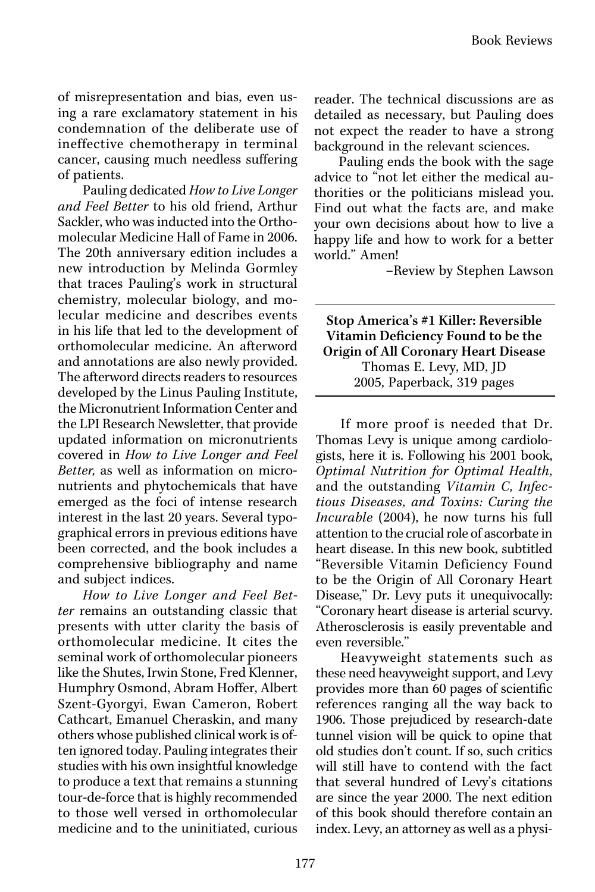of misrepresentation and bias, even using a rare exclamatory statement in his condemnation of the deliberate use of ineffective chemotherapy in terminal cancer, causing much needless suffering of patients.

Pauling dedicated *How to Live Longer and Feel Better* to his old friend, Arthur Sackler, who was inducted into the Orthomolecular Medicine Hall of Fame in 2006. The 20th anniversary edition includes a new introduction by Melinda Gormley that traces Pauling's work in structural chemistry, molecular biology, and molecular medicine and describes events in his life that led to the development of orthomolecular medicine. An afterword and annotations are also newly provided. The afterword directs readers to resources developed by the Linus Pauling Institute, the Micronutrient Information Center and the LPI Research Newsletter, that provide updated information on micronutrients covered in *How to Live Longer and Feel Better,* as well as information on micronutrients and phytochemicals that have emerged as the foci of intense research interest in the last 20 years. Several typographical errors in previous editions have been corrected, and the book includes a comprehensive bibliography and name and subject indices.

*How to Live Longer and Feel Better* remains an outstanding classic that presents with utter clarity the basis of orthomolecular medicine. It cites the seminal work of orthomolecular pioneers like the Shutes, Irwin Stone, Fred Klenner, Humphry Osmond, Abram Hoffer, Albert Szent-Gyorgyi, Ewan Cameron, Robert Cathcart, Emanuel Cheraskin, and many others whose published clinical work is often ignored today. Pauling integrates their studies with his own insightful knowledge to produce a text that remains a stunning tour-de-force that is highly recommended to those well versed in orthomolecular medicine and to the uninitiated, curious

reader. The technical discussions are as detailed as necessary, but Pauling does not expect the reader to have a strong background in the relevant sciences.

Pauling ends the book with the sage advice to "not let either the medical authorities or the politicians mislead you. Find out what the facts are, and make your own decisions about how to live a happy life and how to work for a better world." Amen!

–Review by Stephen Lawson

Stop America's #1 Killer: Reversible Vitamin Deficiency Found to be the Origin of All Coronary Heart Disease Thomas E. Levy, MD, JD 2005, Paperback, 319 pages

If more proof is needed that Dr. Thomas Levy is unique among cardiologists, here it is. Following his 2001 book, *Optimal Nutrition for Optimal Health,*  and the outstanding *Vitamin C, Infectious Diseases, and Toxins: Curing the Incurable* (2004), he now turns his full attention to the crucial role of ascorbate in heart disease. In this new book, subtitled "Reversible Vitamin Deficiency Found to be the Origin of All Coronary Heart Disease," Dr. Levy puts it unequivocally: "Coronary heart disease is arterial scurvy. Atherosclerosis is easily preventable and even reversible."

Heavyweight statements such as these need heavyweight support, and Levy provides more than 60 pages of scientific references ranging all the way back to 1906. Those prejudiced by research-date tunnel vision will be quick to opine that old studies don't count. If so, such critics will still have to contend with the fact that several hundred of Levy's citations are since the year 2000. The next edition of this book should therefore contain an index. Levy, an attorney as well as a physi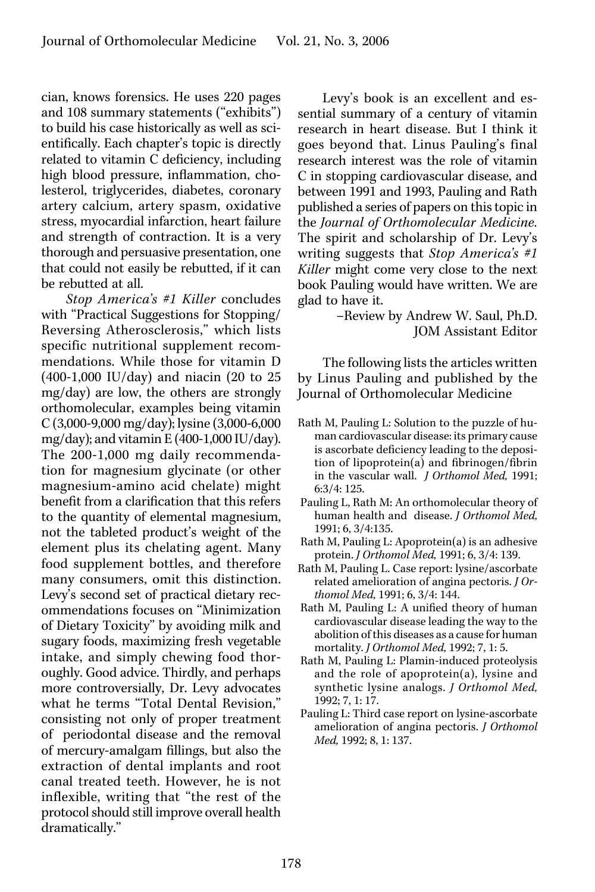cian, knows forensics. He uses 220 pages and 108 summary statements ("exhibits") to build his case historically as well as scientifically. Each chapter's topic is directly related to vitamin C deficiency, including high blood pressure, inflammation, cholesterol, triglycerides, diabetes, coronary artery calcium, artery spasm, oxidative stress, myocardial infarction, heart failure and strength of contraction. It is a very thorough and persuasive presentation, one that could not easily be rebutted, if it can be rebutted at all.

*Stop America's #1 Killer* concludes with "Practical Suggestions for Stopping/ Reversing Atherosclerosis," which lists specific nutritional supplement recommendations. While those for vitamin D (400-1,000 IU/day) and niacin (20 to 25 mg/day) are low, the others are strongly orthomolecular, examples being vitamin C (3,000-9,000 mg/day); lysine (3,000-6,000 mg/day); and vitamin E (400-1,000 IU/day). The 200-1,000 mg daily recommendation for magnesium glycinate (or other magnesium-amino acid chelate) might benefit from a clarification that this refers to the quantity of elemental magnesium, not the tableted product's weight of the element plus its chelating agent. Many food supplement bottles, and therefore many consumers, omit this distinction. Levy's second set of practical dietary recommendations focuses on "Minimization of Dietary Toxicity" by avoiding milk and sugary foods, maximizing fresh vegetable intake, and simply chewing food thoroughly. Good advice. Thirdly, and perhaps more controversially, Dr. Levy advocates what he terms "Total Dental Revision," consisting not only of proper treatment of periodontal disease and the removal of mercury-amalgam fillings, but also the extraction of dental implants and root canal treated teeth. However, he is not inflexible, writing that "the rest of the protocol should still improve overall health dramatically."

Levy's book is an excellent and essential summary of a century of vitamin research in heart disease. But I think it goes beyond that. Linus Pauling's final research interest was the role of vitamin C in stopping cardiovascular disease, and between 1991 and 1993, Pauling and Rath published a series of papers on this topic in the *Journal of Orthomolecular Medicine.*  The spirit and scholarship of Dr. Levy's writing suggests that *Stop America's #1 Killer* might come very close to the next book Pauling would have written. We are glad to have it.

> –Review by Andrew W. Saul, Ph.D. JOM Assistant Editor

The following lists the articles written by Linus Pauling and published by the Journal of Orthomolecular Medicine

- Rath M, Pauling L: Solution to the puzzle of human cardiovascular disease: its primary cause is ascorbate deficiency leading to the deposition of lipoprotein(a) and fibrinogen/fibrin in the vascular wall. *J Orthomol Med,* 1991; 6:3/4: 125.
- Pauling L, Rath M: An orthomolecular theory of human health and disease. *J Orthomol Med,* 1991; 6, 3/4:135.
- Rath M, Pauling L: Apoprotein(a) is an adhesive protein. *J Orthomol Med,* 1991; 6, 3/4: 139.
- Rath M, Pauling L. Case report: lysine/ascorbate related amelioration of angina pectoris. *J Orthomol Med,* 1991; 6, 3/4: 144.
- Rath M, Pauling L: A unified theory of human cardiovascular disease leading the way to the abolition of this diseases as a cause for human mortality. *J Orthomol Med,* 1992; 7, 1: 5.
- Rath M, Pauling L: Plamin-induced proteolysis and the role of apoprotein(a), lysine and synthetic lysine analogs. *J Orthomol Med,* 1992; 7, 1: 17.
- Pauling L: Third case report on lysine-ascorbate amelioration of angina pectoris. *J Orthomol Med,* 1992; 8, 1: 137.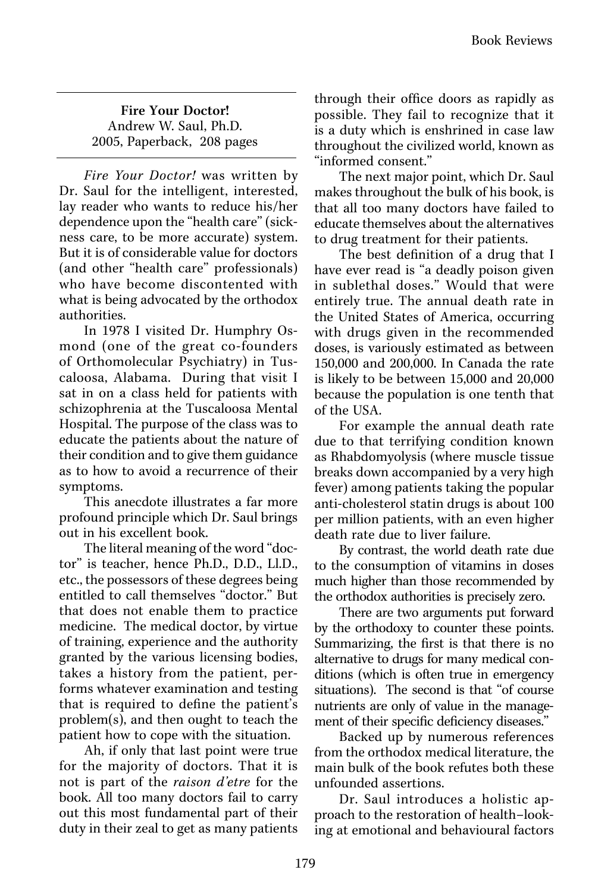Fire Your Doctor! Andrew W. Saul, Ph.D. 2005, Paperback, 208 pages

*Fire Your Doctor!* was written by Dr. Saul for the intelligent, interested, lay reader who wants to reduce his/her dependence upon the "health care" (sickness care, to be more accurate) system. But it is of considerable value for doctors (and other "health care" professionals) who have become discontented with what is being advocated by the orthodox authorities.

In 1978 I visited Dr. Humphry Osmond (one of the great co-founders of Orthomolecular Psychiatry) in Tuscaloosa, Alabama. During that visit I sat in on a class held for patients with schizophrenia at the Tuscaloosa Mental Hospital. The purpose of the class was to educate the patients about the nature of their condition and to give them guidance as to how to avoid a recurrence of their symptoms.

This anecdote illustrates a far more profound principle which Dr. Saul brings out in his excellent book.

The literal meaning of the word "doctor" is teacher, hence Ph.D., D.D., Ll.D., etc., the possessors of these degrees being entitled to call themselves "doctor." But that does not enable them to practice medicine. The medical doctor, by virtue of training, experience and the authority granted by the various licensing bodies, takes a history from the patient, performs whatever examination and testing that is required to define the patient's problem(s), and then ought to teach the patient how to cope with the situation.

Ah, if only that last point were true for the majority of doctors. That it is not is part of the *raison d'etre* for the book. All too many doctors fail to carry out this most fundamental part of their duty in their zeal to get as many patients

through their office doors as rapidly as possible. They fail to recognize that it is a duty which is enshrined in case law throughout the civilized world, known as "informed consent."

The next major point, which Dr. Saul makes throughout the bulk of his book, is that all too many doctors have failed to educate themselves about the alternatives to drug treatment for their patients.

The best definition of a drug that I have ever read is "a deadly poison given in sublethal doses." Would that were entirely true. The annual death rate in the United States of America, occurring with drugs given in the recommended doses, is variously estimated as between 150,000 and 200,000. In Canada the rate is likely to be between 15,000 and 20,000 because the population is one tenth that of the USA.

For example the annual death rate due to that terrifying condition known as Rhabdomyolysis (where muscle tissue breaks down accompanied by a very high fever) among patients taking the popular anti-cholesterol statin drugs is about 100 per million patients, with an even higher death rate due to liver failure.

By contrast, the world death rate due to the consumption of vitamins in doses much higher than those recommended by the orthodox authorities is precisely zero.

There are two arguments put forward by the orthodoxy to counter these points. Summarizing, the first is that there is no alternative to drugs for many medical conditions (which is often true in emergency situations). The second is that "of course nutrients are only of value in the management of their specific deficiency diseases."

Backed up by numerous references from the orthodox medical literature, the main bulk of the book refutes both these unfounded assertions.

Dr. Saul introduces a holistic approach to the restoration of health–looking at emotional and behavioural factors